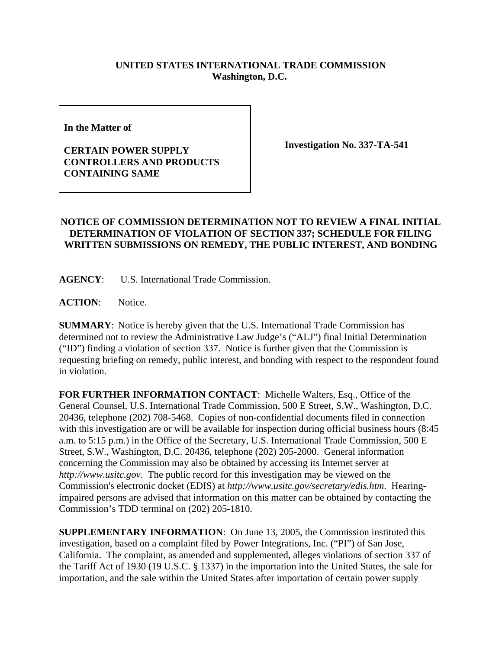## **UNITED STATES INTERNATIONAL TRADE COMMISSION Washington, D.C.**

**In the Matter of** 

## **CERTAIN POWER SUPPLY CONTROLLERS AND PRODUCTS CONTAINING SAME**

**Investigation No. 337-TA-541**

## **NOTICE OF COMMISSION DETERMINATION NOT TO REVIEW A FINAL INITIAL DETERMINATION OF VIOLATION OF SECTION 337; SCHEDULE FOR FILING WRITTEN SUBMISSIONS ON REMEDY, THE PUBLIC INTEREST, AND BONDING**

**AGENCY**: U.S. International Trade Commission.

**ACTION**: Notice.

**SUMMARY**: Notice is hereby given that the U.S. International Trade Commission has determined not to review the Administrative Law Judge's ("ALJ") final Initial Determination ("ID") finding a violation of section 337. Notice is further given that the Commission is requesting briefing on remedy, public interest, and bonding with respect to the respondent found in violation.

**FOR FURTHER INFORMATION CONTACT**: Michelle Walters, Esq., Office of the General Counsel, U.S. International Trade Commission, 500 E Street, S.W., Washington, D.C. 20436, telephone (202) 708-5468. Copies of non-confidential documents filed in connection with this investigation are or will be available for inspection during official business hours (8:45) a.m. to 5:15 p.m.) in the Office of the Secretary, U.S. International Trade Commission, 500 E Street, S.W., Washington, D.C. 20436, telephone (202) 205-2000. General information concerning the Commission may also be obtained by accessing its Internet server at *http://www.usitc.gov*. The public record for this investigation may be viewed on the Commission's electronic docket (EDIS) at *http://www.usitc.gov/secretary/edis.htm*. Hearingimpaired persons are advised that information on this matter can be obtained by contacting the Commission's TDD terminal on (202) 205-1810.

**SUPPLEMENTARY INFORMATION**: On June 13, 2005, the Commission instituted this investigation, based on a complaint filed by Power Integrations, Inc. ("PI") of San Jose, California. The complaint, as amended and supplemented, alleges violations of section 337 of the Tariff Act of 1930 (19 U.S.C. § 1337) in the importation into the United States, the sale for importation, and the sale within the United States after importation of certain power supply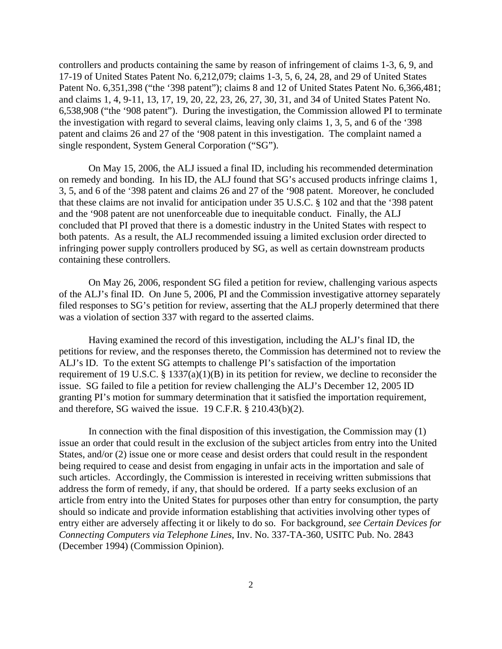controllers and products containing the same by reason of infringement of claims 1-3, 6, 9, and 17-19 of United States Patent No. 6,212,079; claims 1-3, 5, 6, 24, 28, and 29 of United States Patent No. 6,351,398 ("the '398 patent"); claims 8 and 12 of United States Patent No. 6,366,481; and claims 1, 4, 9-11, 13, 17, 19, 20, 22, 23, 26, 27, 30, 31, and 34 of United States Patent No. 6,538,908 ("the '908 patent"). During the investigation, the Commission allowed PI to terminate the investigation with regard to several claims, leaving only claims 1, 3, 5, and 6 of the '398 patent and claims 26 and 27 of the '908 patent in this investigation. The complaint named a single respondent, System General Corporation ("SG").

On May 15, 2006, the ALJ issued a final ID, including his recommended determination on remedy and bonding. In his ID, the ALJ found that SG's accused products infringe claims 1, 3, 5, and 6 of the '398 patent and claims 26 and 27 of the '908 patent. Moreover, he concluded that these claims are not invalid for anticipation under 35 U.S.C. § 102 and that the '398 patent and the '908 patent are not unenforceable due to inequitable conduct. Finally, the ALJ concluded that PI proved that there is a domestic industry in the United States with respect to both patents. As a result, the ALJ recommended issuing a limited exclusion order directed to infringing power supply controllers produced by SG, as well as certain downstream products containing these controllers.

On May 26, 2006, respondent SG filed a petition for review, challenging various aspects of the ALJ's final ID. On June 5, 2006, PI and the Commission investigative attorney separately filed responses to SG's petition for review, asserting that the ALJ properly determined that there was a violation of section 337 with regard to the asserted claims.

Having examined the record of this investigation, including the ALJ's final ID, the petitions for review, and the responses thereto, the Commission has determined not to review the ALJ's ID. To the extent SG attempts to challenge PI's satisfaction of the importation requirement of 19 U.S.C. § 1337(a)(1)(B) in its petition for review, we decline to reconsider the issue. SG failed to file a petition for review challenging the ALJ's December 12, 2005 ID granting PI's motion for summary determination that it satisfied the importation requirement, and therefore, SG waived the issue. 19 C.F.R. § 210.43(b)(2).

In connection with the final disposition of this investigation, the Commission may (1) issue an order that could result in the exclusion of the subject articles from entry into the United States, and/or (2) issue one or more cease and desist orders that could result in the respondent being required to cease and desist from engaging in unfair acts in the importation and sale of such articles. Accordingly, the Commission is interested in receiving written submissions that address the form of remedy, if any, that should be ordered. If a party seeks exclusion of an article from entry into the United States for purposes other than entry for consumption, the party should so indicate and provide information establishing that activities involving other types of entry either are adversely affecting it or likely to do so. For background, *see Certain Devices for Connecting Computers via Telephone Lines*, Inv. No. 337-TA-360, USITC Pub. No. 2843 (December 1994) (Commission Opinion).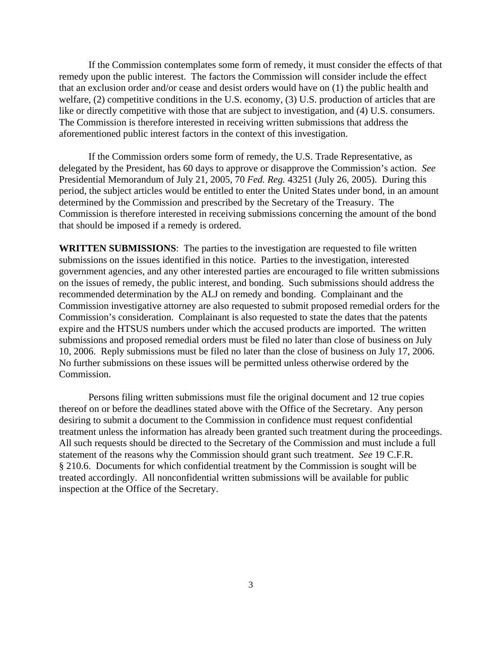If the Commission contemplates some form of remedy, it must consider the effects of that remedy upon the public interest. The factors the Commission will consider include the effect that an exclusion order and/or cease and desist orders would have on (1) the public health and welfare, (2) competitive conditions in the U.S. economy, (3) U.S. production of articles that are like or directly competitive with those that are subject to investigation, and (4) U.S. consumers. The Commission is therefore interested in receiving written submissions that address the aforementioned public interest factors in the context of this investigation.

If the Commission orders some form of remedy, the U.S. Trade Representative, as delegated by the President, has 60 days to approve or disapprove the Commission's action. *See* Presidential Memorandum of July 21, 2005, 70 *Fed. Reg.* 43251 (July 26, 2005). During this period, the subject articles would be entitled to enter the United States under bond, in an amount determined by the Commission and prescribed by the Secretary of the Treasury. The Commission is therefore interested in receiving submissions concerning the amount of the bond that should be imposed if a remedy is ordered.

**WRITTEN SUBMISSIONS**:The parties to the investigation are requested to file written submissions on the issues identified in this notice. Parties to the investigation, interested government agencies, and any other interested parties are encouraged to file written submissions on the issues of remedy, the public interest, and bonding. Such submissions should address the recommended determination by the ALJ on remedy and bonding. Complainant and the Commission investigative attorney are also requested to submit proposed remedial orders for the Commission's consideration. Complainant is also requested to state the dates that the patents expire and the HTSUS numbers under which the accused products are imported. The written submissions and proposed remedial orders must be filed no later than close of business on July 10, 2006. Reply submissions must be filed no later than the close of business on July 17, 2006. No further submissions on these issues will be permitted unless otherwise ordered by the Commission.

Persons filing written submissions must file the original document and 12 true copies thereof on or before the deadlines stated above with the Office of the Secretary. Any person desiring to submit a document to the Commission in confidence must request confidential treatment unless the information has already been granted such treatment during the proceedings. All such requests should be directed to the Secretary of the Commission and must include a full statement of the reasons why the Commission should grant such treatment. *See* 19 C.F.R. § 210.6. Documents for which confidential treatment by the Commission is sought will be treated accordingly. All nonconfidential written submissions will be available for public inspection at the Office of the Secretary.